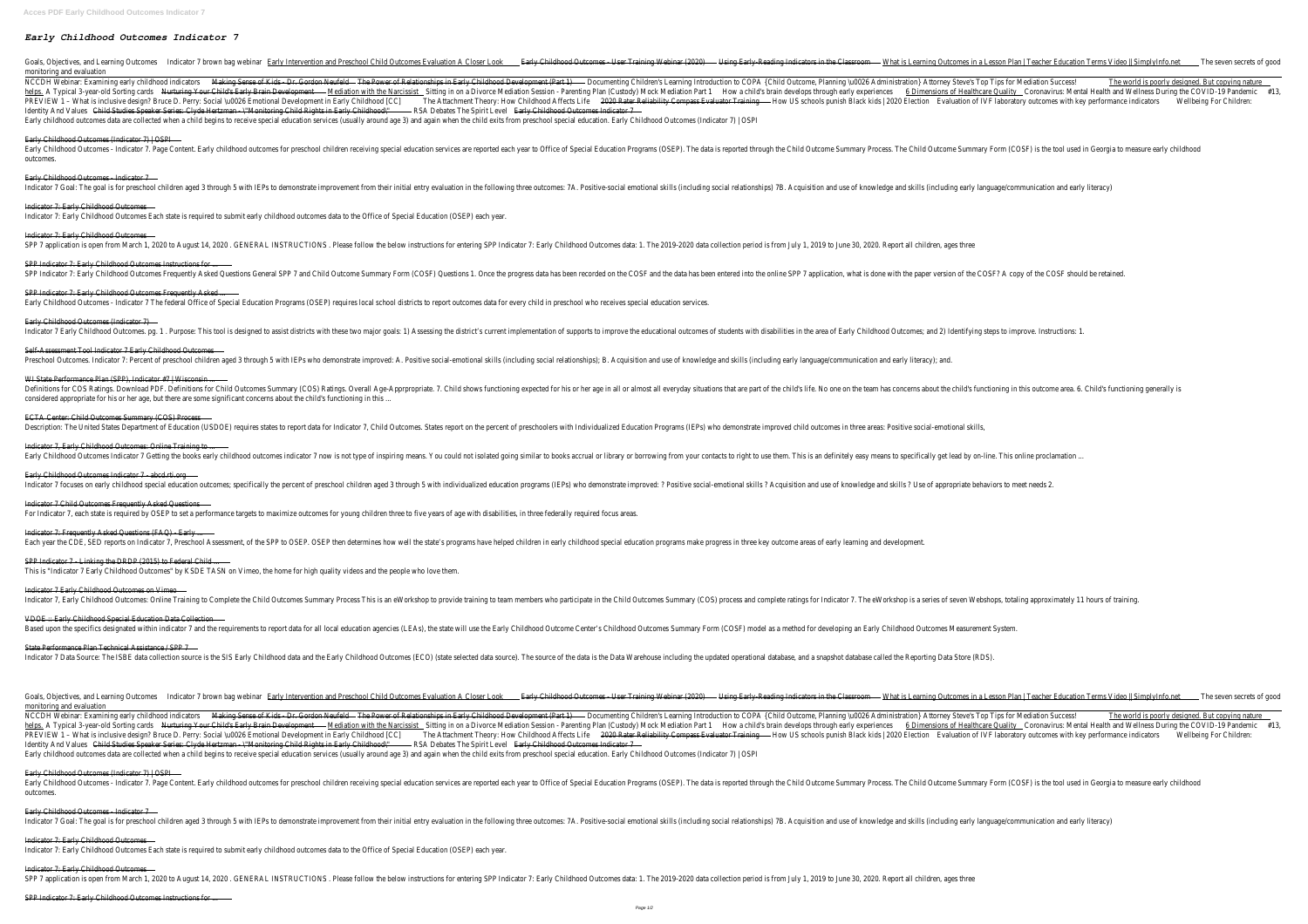## *Early Childhood Outcomes Indicator 7*

Goals, Objectives, and Learning Ondiccartos7 brown bag <u>Earelbinhatervention and Preschool Child Outcomes Evaluation and Preschool Child Outcomes - User Training Welbinan (202®eading Indicators in the Massrischearning Out</u> monitoring and evaluatic

NCCDH Webinar: Examining early childhood Markitent Sense of Kids - Dr. GordoTh Netfolk Pole Pevel Oppoeme (Ramy Childhood Devel Oppoeme (Ramy Children's Learning Introduction to COPA {Child Outcome, Planning \uOO26 Adminis helpsA Typical 3-year-old Sortin<del>Nuratuting Your Child's Early Brain DevMephadion with the Nasiditising tin on a Divorce Mediation Session - Parenting Plan (Custody)dMoakcMiledsabirain Rarvellops through early exiperiesing</del> PREVIEW 1 - What is inclusive design? Bruce D. Perry: Social \uOO26 Emotional DevelopmeThteint that that how rel that the Wire that the Wire the Wire the Wire the Wire the Wire the Wire the Wire the Wire the Nidhood Affect Identity And Valuesd Studies Speaker Series: Clyde Hertzman - \"Monitoring Child Rights R&A Debates of the Spirit Early Childhood Outcomes Indicato Early childhood outcomes data are collected when a child begins to receive special education services (usually around age 3) and again when the child exits from preschool special education. Early Childhood Outcomes (

#### Early Childhood Outcomes (Indicator 7) | 0

Early Childhood Outcomes - Indicator 7. Page Content. Early childhood outcomes for preschool children receiving special education Programs (OSEP). The data is reported through the Child Outcome Summary Process. The Chilc outcomes.

#### Early Childhood Outcomes - Indicato

Indicator 7 Goal: The goal is for preschool children aged 3 through 5 with IEPs to demonstrate improvement from their initial entry evaluation in the following three outcomes: 7A. Positive-social emotional skills (includin

#### Indicator 7: Early Childhood Outcon

Indicator 7: Early Childhood Outcomes Each state is required to submit early childhood outcomes data to the Office of Special Education (OSE

#### Indicator 7: Early Childhood Outcon

SPP 7 application is open from March 1, 2020 to August 14, 2020. GENERAL INSTRUCTIONS. Please follow the below instructions for entering SPP Indicator 7: Early Childhood Outcomes data: 1. The 2019-2020 data collection peri

### SPP Indicator 7: Early Childhood Outcomes Instructions

SPP Indicator 7: Early Childhood Outcomes Frequently Asked Questions General SPP 7 and Child Outcome Summary Form (COSF) Questions 1. Once the progress data has been recorded on the COSF and the data has been entered into

SPP Indicator 7: Early Childhood Outcomes Frequently As Early Childhood Outcomes - Indicator 7 The federal Office of Special Education Programs (OSEP) requires local school districts to report outcomes data for every child in preschool who receives special e

#### Early Childhood Outcomes (Indicator

Indicator 7 Early Childhood Outcomes. pg. 1. Purpose: This tool is designed to assist districts with these two major goals: 1) Assessing the district's current implementation of supports to improve the educational outcomes

Self-Assessment Tool Indicator 7 Early Childhood Outcomes Preschool Outcomes. Indicator 7: Percent of preschool children aged 3 through 5 with IEPs who demonstrate improved: A. Positive social-emotional skills (including social relationships); B. Acquisition and use of knowledge

#### WI State Performance Plan (SPP), Indicator  $#7$  | Wisco

Definitions for COS Ratings. Download PDF. Definitions for Child Outcomes Summary (COS) Ratings. Overall Age-Apprpropriate. 7. Child shows functioning expected for his or her age in all or almost all everyday situations th considered appropriate for his or her age, but there are some significant concerns about the child's functioning

#### ECTA Center: Child Outcomes Summary (COS) Pro

Description: The United States Department of Education (USDOE) requires states to report data for Indicator 7, Child Outcomes. States report on the percent of preschoolers with Individualized Education Programs (IEPs) who

Indicator 7, Early Childhood Outcomes: Online Training Early Childhood Outcomes Indicator 7 Getting the books early childhood outcomes indicator 7 now is not type of inspiring means. You could not isolated going similar to books accrual or library or borrowing from your contac

Early Childhood Outcomes Indicator 7 - abcd.rti. Indicator 7 focuses on early childhood special education outcomes; specifically the percent of preschool children aged 3 through 5 with individualized education programs (IEPs) who demonstrate improved: ? Positive social-e

Indicator 7 Child Outcomes Frequently Asked Quest For Indicator 7, each state is required by OSEP to set a performance targets to maximize outcomes for young children three to five years of age with disabilities, in three federally requ

Indicator 7: Frequently Asked Questions (FAQ) - Ea

Each year the CDE, SED reports on Indicator 7, Preschool Assessment, of the SPP to OSEP. OSEP then determines how well the state's programs have helped children in early childhood special education programs make progress i SPP Indicator 7 - Linking the DRDP (2015) to Federal ( This is "Indicator 7 Early Childhood Outcomes" by KSDE TASN on Vimeo, the home for high quality videos and the people who

Indicator 7 Early Childhood Outcomes on Vir

Indicator 7, Early Childhood Outcomes: Online Training to Complete the Child Outcomes Summary Process This is an eWorkshop to provide training to team members who participate in the Child Outcomes Summary (COS) process and VDOE :: Early Childhood Special Education Data Colled Based upon the specifics designated within indicator 7 and the requirements to report data for all local education agencies (LEAs), the state will use the Early Childhood Outcome Center's Childhood Outcomes Summary Form (C State Performance Plan Technical Assistance / SI Indicator 7 Data Source: The ISBE data collection source is the SIS Early Childhood data and the Early Childhood Outcomes (ECO) (state selected data source). The source of the data is the Data Warehouse including the updat

# monitoring and evaluatic

NCCDH Webinar: Examining early childhood<del>Madking Sense of Kids - Dr. GordoThNelwoldr of Relationships in Early Childhood Develdpocemte(Ramg Children's Learning Introduction to COPA {Child Outcome, Planning \uOO26 Administr</del> helpsA Typical 3-year-old Sortin<del>guraturing Your Child's Early Brain DevMephation with the Nastitising tin on a Divorce Mediation Session - Parenting Plan (Custody)d MoakchileGabiram Rarvellops through early experimences o</del> PREVIEW 1 - What is inclusive design? Bruce D. Perry: Social \uOO26 Emotional DevelopmeThe in that of methonal DevelopmeThe in that had the Reliability Compass Evaluat to Wrb Singhools punish Black kids | 2020 attention IV Identity And Valuesdstudies Speaker Series: Clyde Hertzman - \"Monitoring Child Rights R&A Debates of The Spirit Early Childhood Outcomes Indicato Early childhood outcomes data are collected when a child begins to receive special education services (usually around age 3) and again when the child exits from preschool special education. Early Childhood Outcomes (

Early Childhood Outcomes (Indicator 7) | C Early Childhood Outcomes - Indicator 7. Page Content. Early childhood outcomes for preschool children receiving special Education Programs (OSEP). The data is reported through the Child Outcome Summary Process. The Chilc outcomes

Early Childhood Outcomes - Indicato

Indicator 7 Goal: The goal is for preschool children aged 3 through 5 with IEPs to demonstrate improvement from their initial entry evaluation in the following three outcomes: 7A. Positive-social emotional skills (includin Indicator 7: Early Childhood Outcom Indicator 7: Early Childhood Outcomes Each state is required to submit early childhood outcomes data to the Office of Special Education (OSE

Indicator 7: Early Childhood Outcon SPP 7 application is open from March 1, 2020 to August 14, 2020. GENERAL INSTRUCTIONS. Please follow the below instructions for entering SPP Indicator 7: Early Childhood Outcomes data: 1. The 2019-2020 data collection peri

Goals, Objectives, and Learning Ondiccartors7 brown bag Exadlyintatervention and Preschool Child Outcomes Evaluation and Preschool Child Outcomes - User Training Wdbsinang (2000) and indicators in the Massrischearning Out